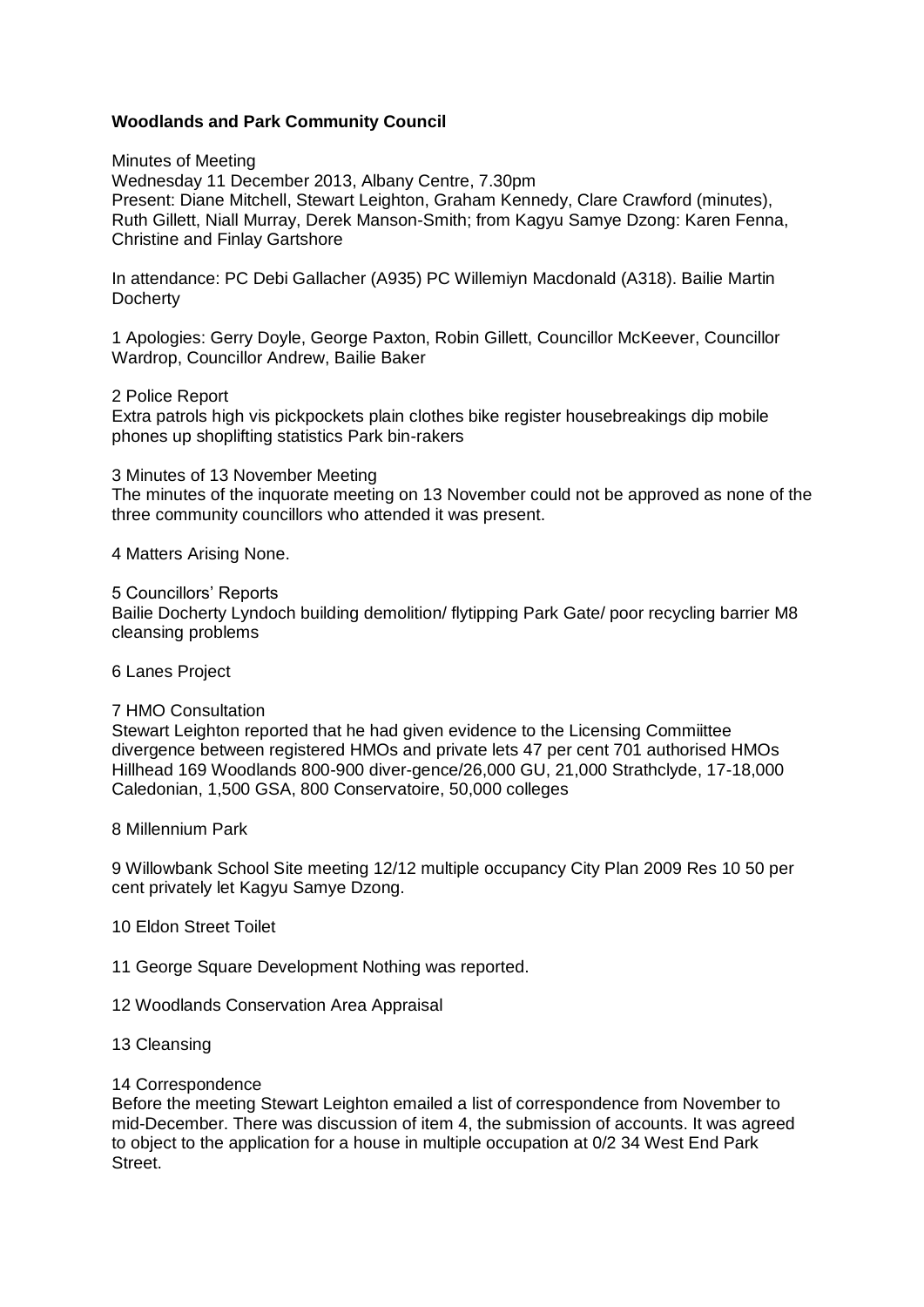## **Woodlands and Park Community Council**

Minutes of Meeting

Wednesday 11 December 2013, Albany Centre, 7.30pm Present: Diane Mitchell, Stewart Leighton, Graham Kennedy, Clare Crawford (minutes), Ruth Gillett, Niall Murray, Derek Manson-Smith; from Kagyu Samye Dzong: Karen Fenna, Christine and Finlay Gartshore

In attendance: PC Debi Gallacher (A935) PC Willemiyn Macdonald (A318). Bailie Martin **Docherty** 

1 Apologies: Gerry Doyle, George Paxton, Robin Gillett, Councillor McKeever, Councillor Wardrop, Councillor Andrew, Bailie Baker

2 Police Report

Extra patrols high vis pickpockets plain clothes bike register housebreakings dip mobile phones up shoplifting statistics Park bin-rakers

3 Minutes of 13 November Meeting The minutes of the inquorate meeting on 13 November could not be approved as none of the three community councillors who attended it was present.

4 Matters Arising None.

5 Councillors' Reports

Bailie Docherty Lyndoch building demolition/ flytipping Park Gate/ poor recycling barrier M8 cleansing problems

6 Lanes Project

#### 7 HMO Consultation

Stewart Leighton reported that he had given evidence to the Licensing Commiittee divergence between registered HMOs and private lets 47 per cent 701 authorised HMOs Hillhead 169 Woodlands 800-900 diver-gence/26,000 GU, 21,000 Strathclyde, 17-18,000 Caledonian, 1,500 GSA, 800 Conservatoire, 50,000 colleges

8 Millennium Park

9 Willowbank School Site meeting 12/12 multiple occupancy City Plan 2009 Res 10 50 per cent privately let Kagyu Samye Dzong.

### 10 Eldon Street Toilet

11 George Square Development Nothing was reported.

- 12 Woodlands Conservation Area Appraisal
- 13 Cleansing

### 14 Correspondence

Before the meeting Stewart Leighton emailed a list of correspondence from November to mid-December. There was discussion of item 4, the submission of accounts. It was agreed to object to the application for a house in multiple occupation at 0/2 34 West End Park Street.